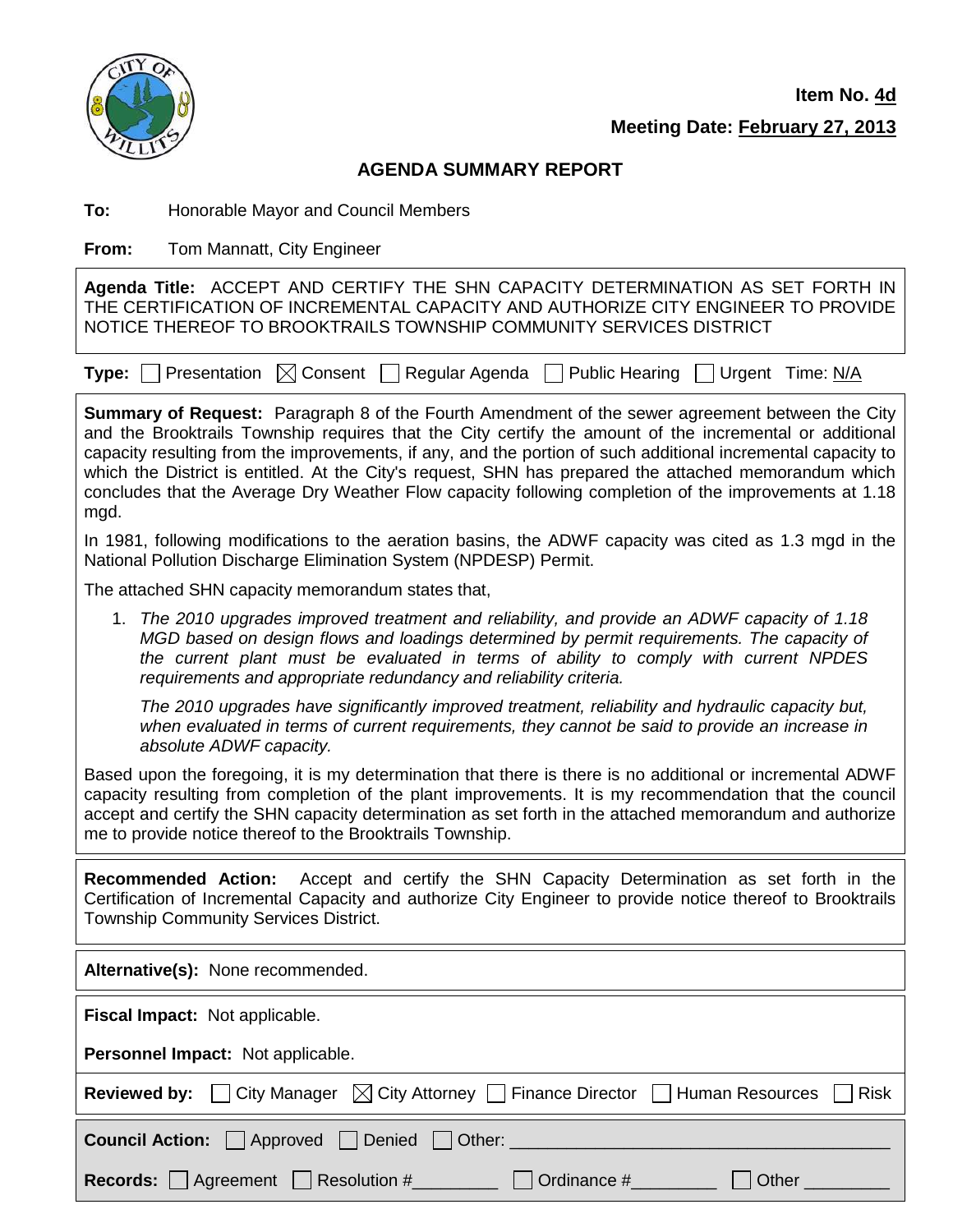

**Item No. 4d**

**Meeting Date: February 27, 2013**

| <b>AGENDA SUMMARY REPORT</b>                                                                                                                                                                                                                                      |                                                                                                                                                                                                                                                                                                                                                                                                                                                                                                                                                     |  |  |
|-------------------------------------------------------------------------------------------------------------------------------------------------------------------------------------------------------------------------------------------------------------------|-----------------------------------------------------------------------------------------------------------------------------------------------------------------------------------------------------------------------------------------------------------------------------------------------------------------------------------------------------------------------------------------------------------------------------------------------------------------------------------------------------------------------------------------------------|--|--|
| To:                                                                                                                                                                                                                                                               | Honorable Mayor and Council Members                                                                                                                                                                                                                                                                                                                                                                                                                                                                                                                 |  |  |
| From:                                                                                                                                                                                                                                                             | Tom Mannatt, City Engineer                                                                                                                                                                                                                                                                                                                                                                                                                                                                                                                          |  |  |
| Agenda Title: ACCEPT AND CERTIFY THE SHN CAPACITY DETERMINATION AS SET FORTH IN<br>THE CERTIFICATION OF INCREMENTAL CAPACITY AND AUTHORIZE CITY ENGINEER TO PROVIDE<br>NOTICE THEREOF TO BROOKTRAILS TOWNSHIP COMMUNITY SERVICES DISTRICT                         |                                                                                                                                                                                                                                                                                                                                                                                                                                                                                                                                                     |  |  |
| Type:                                                                                                                                                                                                                                                             | $\boxtimes$ Consent<br>Regular Agenda<br>Presentation<br><b>Public Hearing</b><br>Urgent Time: N/A                                                                                                                                                                                                                                                                                                                                                                                                                                                  |  |  |
| mgd.                                                                                                                                                                                                                                                              | <b>Summary of Request:</b> Paragraph 8 of the Fourth Amendment of the sewer agreement between the City<br>and the Brooktrails Township requires that the City certify the amount of the incremental or additional<br>capacity resulting from the improvements, if any, and the portion of such additional incremental capacity to<br>which the District is entitled. At the City's request, SHN has prepared the attached memorandum which<br>concludes that the Average Dry Weather Flow capacity following completion of the improvements at 1.18 |  |  |
|                                                                                                                                                                                                                                                                   | In 1981, following modifications to the aeration basins, the ADWF capacity was cited as 1.3 mgd in the<br>National Pollution Discharge Elimination System (NPDESP) Permit.                                                                                                                                                                                                                                                                                                                                                                          |  |  |
|                                                                                                                                                                                                                                                                   | The attached SHN capacity memorandum states that,                                                                                                                                                                                                                                                                                                                                                                                                                                                                                                   |  |  |
| 1.                                                                                                                                                                                                                                                                | The 2010 upgrades improved treatment and reliability, and provide an ADWF capacity of 1.18<br>MGD based on design flows and loadings determined by permit requirements. The capacity of<br>the current plant must be evaluated in terms of ability to comply with current NPDES<br>requirements and appropriate redundancy and reliability criteria.                                                                                                                                                                                                |  |  |
|                                                                                                                                                                                                                                                                   | The 2010 upgrades have significantly improved treatment, reliability and hydraulic capacity but,<br>when evaluated in terms of current requirements, they cannot be said to provide an increase in<br>absolute ADWF capacity.                                                                                                                                                                                                                                                                                                                       |  |  |
|                                                                                                                                                                                                                                                                   | Based upon the foregoing, it is my determination that there is there is no additional or incremental ADWF<br>capacity resulting from completion of the plant improvements. It is my recommendation that the council<br>accept and certify the SHN capacity determination as set forth in the attached memorandum and authorize<br>me to provide notice thereof to the Brooktrails Township.                                                                                                                                                         |  |  |
| Accept and certify the SHN Capacity Determination as set forth in the<br><b>Recommended Action:</b><br>Certification of Incremental Capacity and authorize City Engineer to provide notice thereof to Brooktrails<br><b>Township Community Services District.</b> |                                                                                                                                                                                                                                                                                                                                                                                                                                                                                                                                                     |  |  |
|                                                                                                                                                                                                                                                                   | Alternative(s): None recommended.                                                                                                                                                                                                                                                                                                                                                                                                                                                                                                                   |  |  |
|                                                                                                                                                                                                                                                                   | Fiscal Impact: Not applicable.                                                                                                                                                                                                                                                                                                                                                                                                                                                                                                                      |  |  |
| Personnel Impact: Not applicable.                                                                                                                                                                                                                                 |                                                                                                                                                                                                                                                                                                                                                                                                                                                                                                                                                     |  |  |
| <b>Reviewed by:</b>                                                                                                                                                                                                                                               | City Attorney  <br>Human Resources<br><b>Risk</b><br>City Manager<br><b>Finance Director</b><br>IXI                                                                                                                                                                                                                                                                                                                                                                                                                                                 |  |  |
| <b>Council Action:</b><br>Approved<br>Denied<br>Other:                                                                                                                                                                                                            |                                                                                                                                                                                                                                                                                                                                                                                                                                                                                                                                                     |  |  |

Records:  $\Box$  Agreement  $\Box$  Resolution #\_\_\_\_\_\_\_\_  $\Box$  Ordinance #\_\_\_\_\_\_\_\_  $\Box$  Other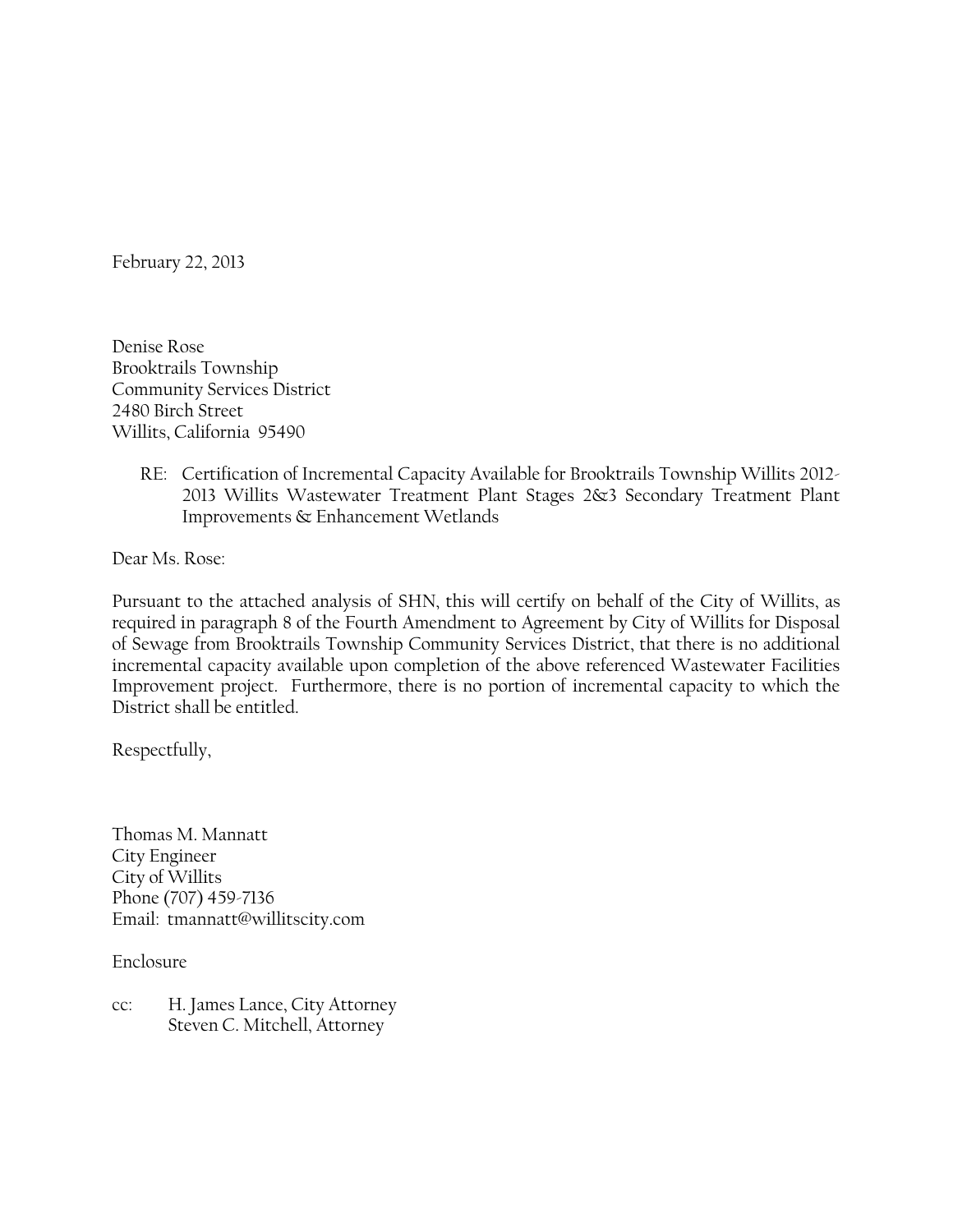February 22, 2013

Denise Rose Brooktrails Township Community Services District 2480 Birch Street Willits, California 95490

> RE: Certification of Incremental Capacity Available for Brooktrails Township Willits 2012- 2013 Willits Wastewater Treatment Plant Stages 2&3 Secondary Treatment Plant Improvements & Enhancement Wetlands

Dear Ms. Rose:

Pursuant to the attached analysis of SHN, this will certify on behalf of the City of Willits, as required in paragraph 8 of the Fourth Amendment to Agreement by City of Willits for Disposal of Sewage from Brooktrails Township Community Services District, that there is no additional incremental capacity available upon completion of the above referenced Wastewater Facilities Improvement project. Furthermore, there is no portion of incremental capacity to which the District shall be entitled.

Respectfully,

Thomas M. Mannatt City Engineer City of Willits Phone (707) 459-7136 Email: tmannatt@willitscity.com

Enclosure

cc: H. James Lance, City Attorney Steven C. Mitchell, Attorney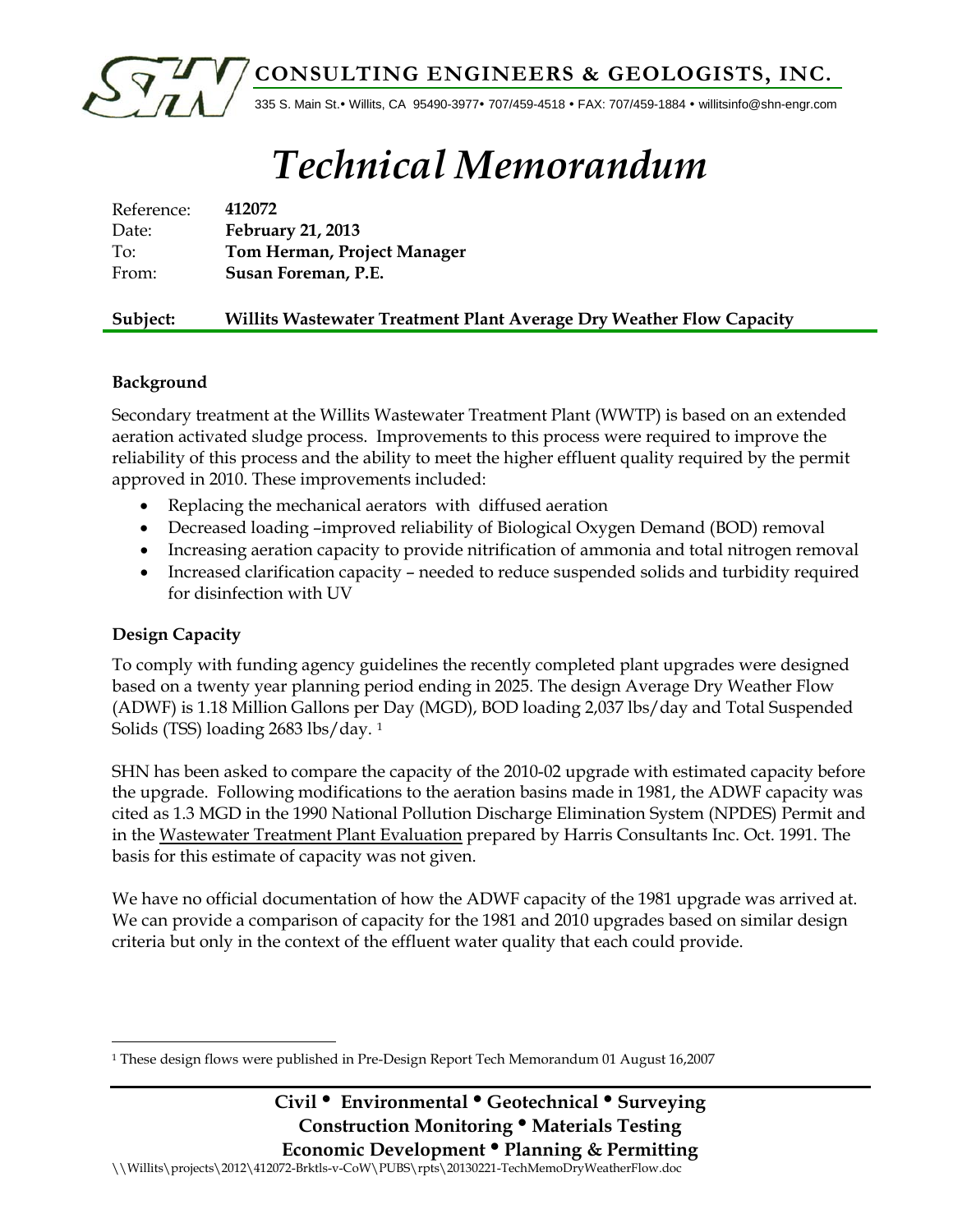

# *Technical Memorandum*

| Reference: | 412072                      |
|------------|-----------------------------|
| Date:      | February 21, 2013           |
| To:        | Tom Herman, Project Manager |
| From:      | Susan Foreman, P.E.         |
|            |                             |

#### **Subject: Willits Wastewater Treatment Plant Average Dry Weather Flow Capacity**

#### **Background**

Secondary treatment at the Willits Wastewater Treatment Plant (WWTP) is based on an extended aeration activated sludge process. Improvements to this process were required to improve the reliability of this process and the ability to meet the higher effluent quality required by the permit approved in 2010. These improvements included:

- Replacing the mechanical aerators with diffused aeration
- Decreased loading –improved reliability of Biological Oxygen Demand (BOD) removal
- Increasing aeration capacity to provide nitrification of ammonia and total nitrogen removal
- Increased clarification capacity needed to reduce suspended solids and turbidity required for disinfection with UV

### **Design Capacity**

l

To comply with funding agency guidelines the recently completed plant upgrades were designed based on a twenty year planning period ending in 2025. The design Average Dry Weather Flow (ADWF) is 1.18 Million Gallons per Day (MGD), BOD loading 2,037 lbs/day and Total Suspended Solids (TSS) loading 2683 lbs/day. [1](#page-2-0)

SHN has been asked to compare the capacity of the 2010-02 upgrade with estimated capacity before the upgrade. Following modifications to the aeration basins made in 1981, the ADWF capacity was cited as 1.3 MGD in the 1990 National Pollution Discharge Elimination System (NPDES) Permit and in the Wastewater Treatment Plant Evaluation prepared by Harris Consultants Inc. Oct. 1991. The basis for this estimate of capacity was not given.

We have no official documentation of how the ADWF capacity of the 1981 upgrade was arrived at. We can provide a comparison of capacity for the 1981 and 2010 upgrades based on similar design criteria but only in the context of the effluent water quality that each could provide.

<span id="page-2-0"></span><sup>1</sup> These design flows were published in Pre-Design Report Tech Memorandum 01 August 16,2007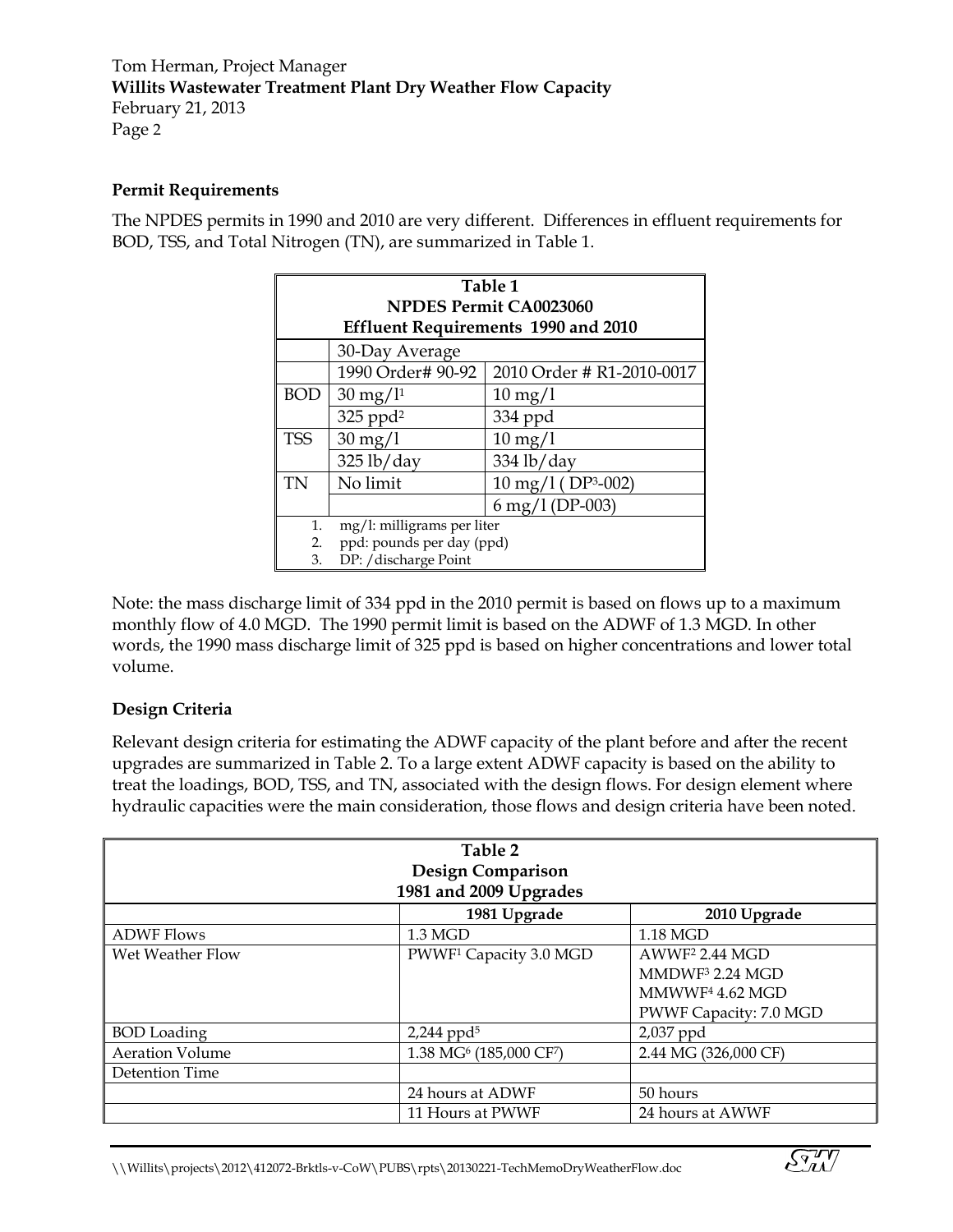Tom Herman, Project Manager **Willits Wastewater Treatment Plant Dry Weather Flow Capacity** February 21, 2013 Page 2

#### **Permit Requirements**

The NPDES permits in 1990 and 2010 are very different. Differences in effluent requirements for BOD, TSS, and Total Nitrogen (TN), are summarized in Table 1.

| Table 1<br><b>NPDES Permit CA0023060</b>   |                            |                                                |  |  |  |  |
|--------------------------------------------|----------------------------|------------------------------------------------|--|--|--|--|
| <b>Effluent Requirements 1990 and 2010</b> |                            |                                                |  |  |  |  |
|                                            | 30-Day Average             |                                                |  |  |  |  |
|                                            | 1990 Order# 90-92          | 2010 Order # R1-2010-0017                      |  |  |  |  |
| <b>BOD</b>                                 | $30 \,\mathrm{mg}/l^{1}$   | $10 \,\mathrm{mg}/l$                           |  |  |  |  |
|                                            | $325$ ppd <sup>2</sup>     | 334 ppd                                        |  |  |  |  |
| <b>TSS</b>                                 | $30 \text{ mg}/1$          | $10 \,\mathrm{mg}/l$                           |  |  |  |  |
|                                            | $325$ lb/day               | 334 lb/day                                     |  |  |  |  |
| TN                                         | No limit                   | $10 \text{ mg}/1$ (DP <sup>3</sup> -002)       |  |  |  |  |
|                                            |                            | $6 \,\mathrm{mg}/1 \,(\mathrm{DP}\text{-}003)$ |  |  |  |  |
| 1.                                         | mg/l: milligrams per liter |                                                |  |  |  |  |
| 2.                                         | ppd: pounds per day (ppd)  |                                                |  |  |  |  |
| 3.                                         | DP: /discharge Point       |                                                |  |  |  |  |

Note: the mass discharge limit of 334 ppd in the 2010 permit is based on flows up to a maximum monthly flow of 4.0 MGD. The 1990 permit limit is based on the ADWF of 1.3 MGD. In other words, the 1990 mass discharge limit of 325 ppd is based on higher concentrations and lower total volume.

#### **Design Criteria**

Relevant design criteria for estimating the ADWF capacity of the plant before and after the recent upgrades are summarized in Table 2. To a large extent ADWF capacity is based on the ability to treat the loadings, BOD, TSS, and TN, associated with the design flows. For design element where hydraulic capacities were the main consideration, those flows and design criteria have been noted.

| Table 2<br><b>Design Comparison</b><br>1981 and 2009 Upgrades |                                                 |                                                                                                                    |  |  |  |
|---------------------------------------------------------------|-------------------------------------------------|--------------------------------------------------------------------------------------------------------------------|--|--|--|
|                                                               | 1981 Upgrade                                    | 2010 Upgrade                                                                                                       |  |  |  |
| <b>ADWF Flows</b>                                             | $1.3\text{ MGD}$                                | 1.18 MGD                                                                                                           |  |  |  |
| Wet Weather Flow                                              | PWWF <sup>1</sup> Capacity 3.0 MGD              | AWWF <sup>2</sup> 2.44 MGD<br>MMDWF <sup>3</sup> 2.24 MGD<br>MMWWF <sup>4</sup> 4.62 MGD<br>PWWF Capacity: 7.0 MGD |  |  |  |
| <b>BOD</b> Loading                                            | $2,244$ ppd <sup>5</sup>                        | 2,037 ppd                                                                                                          |  |  |  |
| <b>Aeration Volume</b>                                        | 1.38 MG <sup>6</sup> (185,000 CF <sup>7</sup> ) | 2.44 MG (326,000 CF)                                                                                               |  |  |  |
| Detention Time                                                |                                                 |                                                                                                                    |  |  |  |
|                                                               | 24 hours at ADWF                                | 50 hours                                                                                                           |  |  |  |
|                                                               | 11 Hours at PWWF                                | 24 hours at AWWF                                                                                                   |  |  |  |

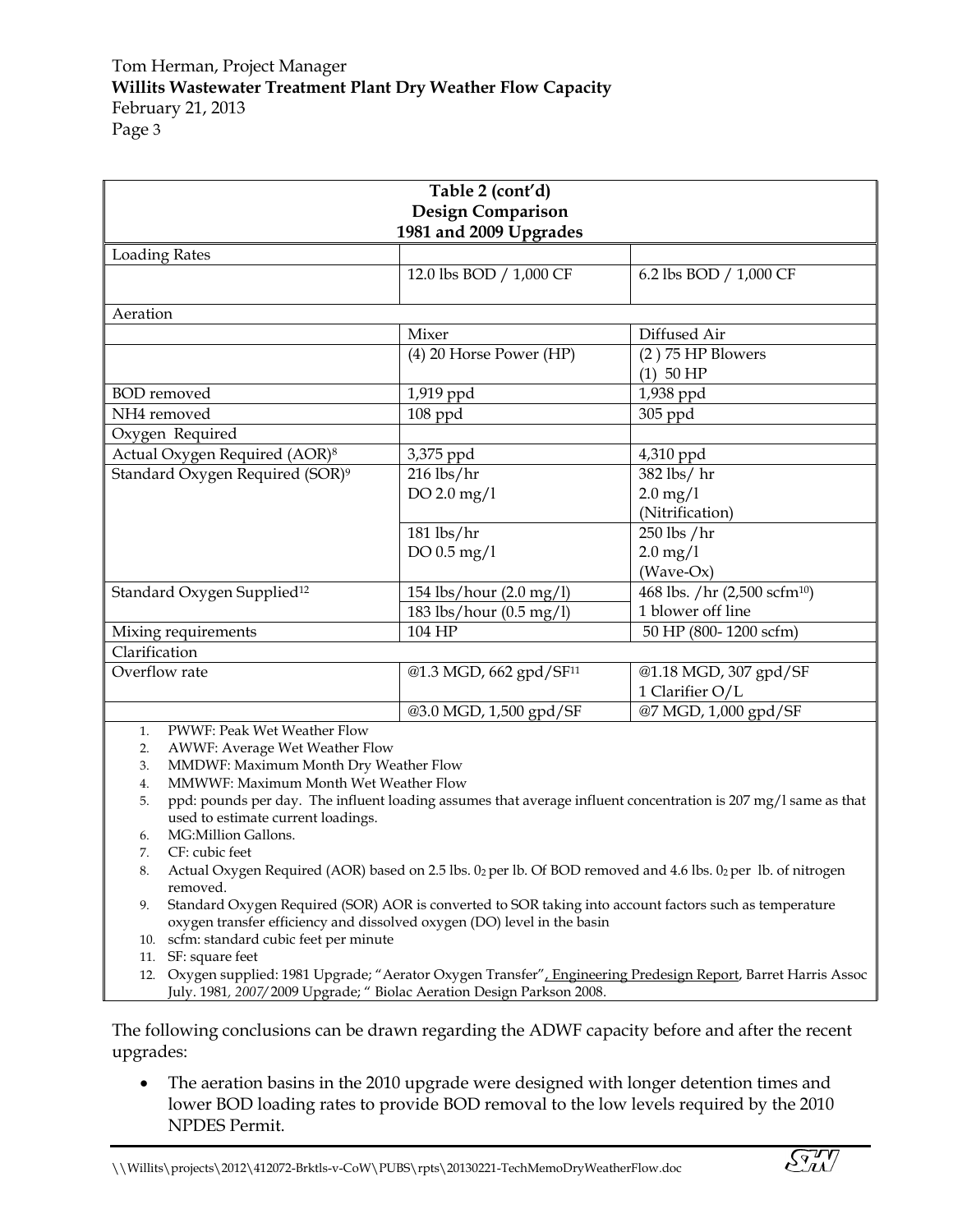| Table 2 (cont'd)                                                        |                                                                                                                |                                          |  |  |  |  |
|-------------------------------------------------------------------------|----------------------------------------------------------------------------------------------------------------|------------------------------------------|--|--|--|--|
| <b>Design Comparison</b><br>1981 and 2009 Upgrades                      |                                                                                                                |                                          |  |  |  |  |
| <b>Loading Rates</b>                                                    |                                                                                                                |                                          |  |  |  |  |
|                                                                         | 12.0 lbs BOD / 1,000 CF                                                                                        | 6.2 lbs BOD / 1,000 CF                   |  |  |  |  |
|                                                                         |                                                                                                                |                                          |  |  |  |  |
| Aeration                                                                |                                                                                                                |                                          |  |  |  |  |
|                                                                         | Mixer                                                                                                          | Diffused Air                             |  |  |  |  |
|                                                                         | (4) 20 Horse Power (HP)                                                                                        | $(2)$ 75 HP Blowers                      |  |  |  |  |
|                                                                         |                                                                                                                | $(1)$ 50 HP                              |  |  |  |  |
| <b>BOD</b> removed                                                      | 1,919 ppd                                                                                                      | 1,938 ppd                                |  |  |  |  |
| NH4 removed                                                             | 108 ppd                                                                                                        | 305 ppd                                  |  |  |  |  |
| Oxygen Required                                                         |                                                                                                                |                                          |  |  |  |  |
| Actual Oxygen Required (AOR) <sup>8</sup>                               | 3,375 ppd                                                                                                      | 4,310 ppd                                |  |  |  |  |
| Standard Oxygen Required (SOR) <sup>9</sup>                             | $216$ lbs/hr                                                                                                   | 382 lbs/hr                               |  |  |  |  |
|                                                                         | DO 2.0 mg/l                                                                                                    | $2.0 \,\mathrm{mg}/1$                    |  |  |  |  |
|                                                                         |                                                                                                                | (Nitrification)                          |  |  |  |  |
|                                                                         | $181$ lbs/ $hr$                                                                                                | 250 lbs /hr                              |  |  |  |  |
|                                                                         | DO 0.5 mg/l                                                                                                    | $2.0 \,\mathrm{mg}/1$                    |  |  |  |  |
|                                                                         |                                                                                                                | (Wave-Ox)                                |  |  |  |  |
| Standard Oxygen Supplied <sup>12</sup>                                  | 154 lbs/hour (2.0 mg/l)                                                                                        | 468 lbs. /hr (2,500 scfm <sup>10</sup> ) |  |  |  |  |
|                                                                         | 183 lbs/hour (0.5 mg/l)                                                                                        | 1 blower off line                        |  |  |  |  |
| Mixing requirements                                                     | 104 HP                                                                                                         | 50 HP (800-1200 scfm)                    |  |  |  |  |
| Clarification                                                           |                                                                                                                |                                          |  |  |  |  |
| Overflow rate                                                           | @1.3 MGD, 662 gpd/SF <sup>11</sup>                                                                             | @1.18 MGD, 307 gpd/SF                    |  |  |  |  |
|                                                                         |                                                                                                                | 1 Clarifier O/L                          |  |  |  |  |
|                                                                         | @3.0 MGD, 1,500 gpd/SF                                                                                         | @7 MGD, 1,000 gpd/SF                     |  |  |  |  |
| PWWF: Peak Wet Weather Flow<br>1.                                       |                                                                                                                |                                          |  |  |  |  |
| AWWF: Average Wet Weather Flow<br>2.                                    |                                                                                                                |                                          |  |  |  |  |
| 3.                                                                      | MMDWF: Maximum Month Dry Weather Flow                                                                          |                                          |  |  |  |  |
| 4.                                                                      | MMWWF: Maximum Month Wet Weather Flow                                                                          |                                          |  |  |  |  |
| 5.                                                                      | ppd: pounds per day. The influent loading assumes that average influent concentration is 207 mg/l same as that |                                          |  |  |  |  |
|                                                                         | used to estimate current loadings.                                                                             |                                          |  |  |  |  |
| 6.<br>CF: cubic feet<br>7.                                              | MG:Million Gallons.                                                                                            |                                          |  |  |  |  |
| 8.                                                                      | Actual Oxygen Required (AOR) based on 2.5 lbs. 02 per lb. Of BOD removed and 4.6 lbs. 02 per lb. of nitrogen   |                                          |  |  |  |  |
| removed.                                                                |                                                                                                                |                                          |  |  |  |  |
| 9.                                                                      | Standard Oxygen Required (SOR) AOR is converted to SOR taking into account factors such as temperature         |                                          |  |  |  |  |
| oxygen transfer efficiency and dissolved oxygen (DO) level in the basin |                                                                                                                |                                          |  |  |  |  |
| 10. scfm: standard cubic feet per minute                                |                                                                                                                |                                          |  |  |  |  |
| 11. SF: square feet                                                     |                                                                                                                |                                          |  |  |  |  |

12. Oxygen supplied: 1981 Upgrade; "Aerator Oxygen Transfer", Engineering Predesign Report, Barret Harris Assoc July. 1981*, 2007/* 2009 Upgrade; " Biolac Aeration Design Parkson 2008.

The following conclusions can be drawn regarding the ADWF capacity before and after the recent upgrades:

• The aeration basins in the 2010 upgrade were designed with longer detention times and lower BOD loading rates to provide BOD removal to the low levels required by the 2010 NPDES Permit.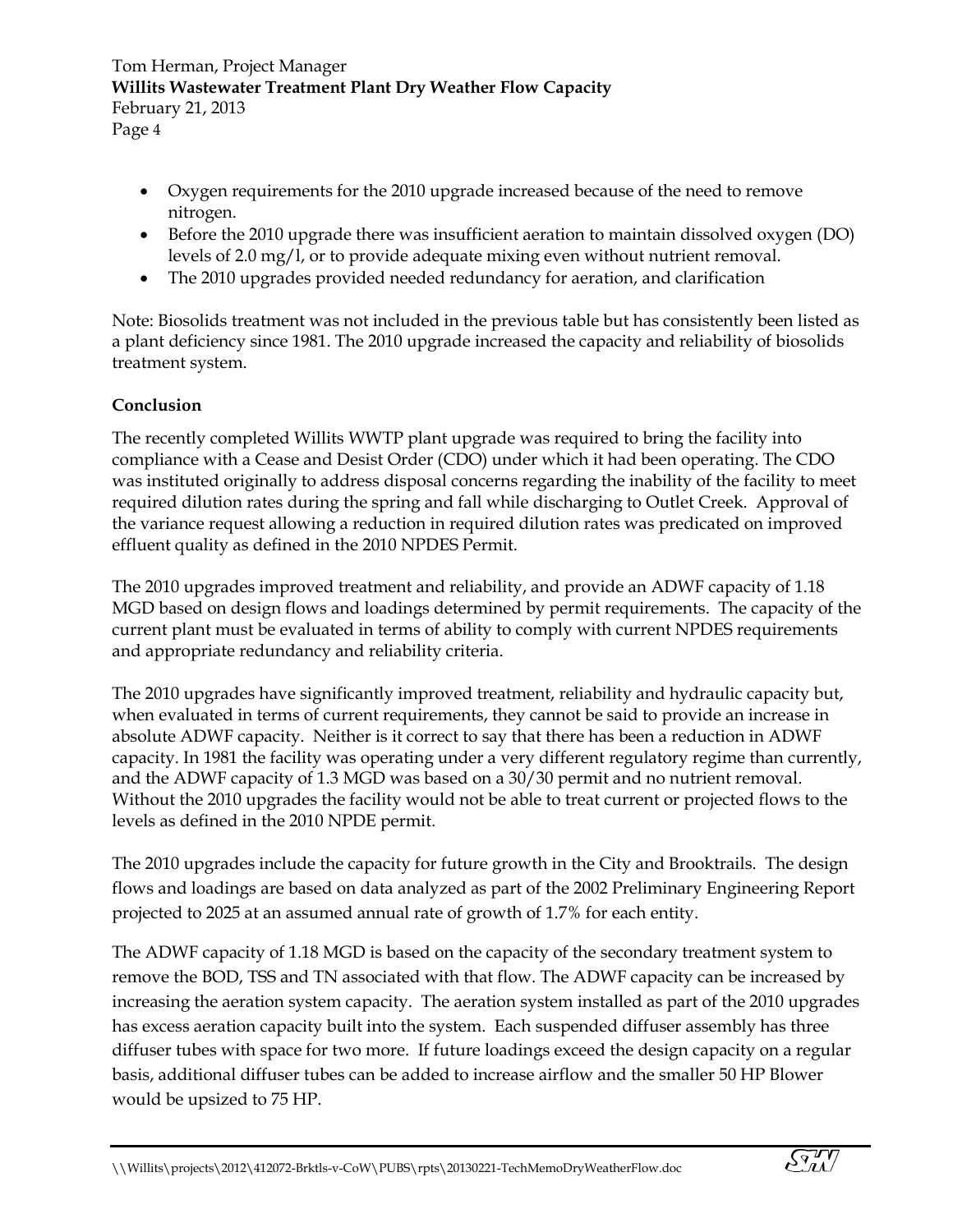- Oxygen requirements for the 2010 upgrade increased because of the need to remove nitrogen.
- Before the 2010 upgrade there was insufficient aeration to maintain dissolved oxygen (DO) levels of 2.0 mg/l, or to provide adequate mixing even without nutrient removal.
- The 2010 upgrades provided needed redundancy for aeration, and clarification

Note: Biosolids treatment was not included in the previous table but has consistently been listed as a plant deficiency since 1981. The 2010 upgrade increased the capacity and reliability of biosolids treatment system.

### **Conclusion**

The recently completed Willits WWTP plant upgrade was required to bring the facility into compliance with a Cease and Desist Order (CDO) under which it had been operating. The CDO was instituted originally to address disposal concerns regarding the inability of the facility to meet required dilution rates during the spring and fall while discharging to Outlet Creek. Approval of the variance request allowing a reduction in required dilution rates was predicated on improved effluent quality as defined in the 2010 NPDES Permit.

The 2010 upgrades improved treatment and reliability, and provide an ADWF capacity of 1.18 MGD based on design flows and loadings determined by permit requirements. The capacity of the current plant must be evaluated in terms of ability to comply with current NPDES requirements and appropriate redundancy and reliability criteria.

The 2010 upgrades have significantly improved treatment, reliability and hydraulic capacity but, when evaluated in terms of current requirements, they cannot be said to provide an increase in absolute ADWF capacity. Neither is it correct to say that there has been a reduction in ADWF capacity. In 1981 the facility was operating under a very different regulatory regime than currently, and the ADWF capacity of 1.3 MGD was based on a 30/30 permit and no nutrient removal. Without the 2010 upgrades the facility would not be able to treat current or projected flows to the levels as defined in the 2010 NPDE permit.

The 2010 upgrades include the capacity for future growth in the City and Brooktrails. The design flows and loadings are based on data analyzed as part of the 2002 Preliminary Engineering Report projected to 2025 at an assumed annual rate of growth of 1.7% for each entity.

The ADWF capacity of 1.18 MGD is based on the capacity of the secondary treatment system to remove the BOD, TSS and TN associated with that flow. The ADWF capacity can be increased by increasing the aeration system capacity. The aeration system installed as part of the 2010 upgrades has excess aeration capacity built into the system. Each suspended diffuser assembly has three diffuser tubes with space for two more. If future loadings exceed the design capacity on a regular basis, additional diffuser tubes can be added to increase airflow and the smaller 50 HP Blower would be upsized to 75 HP.